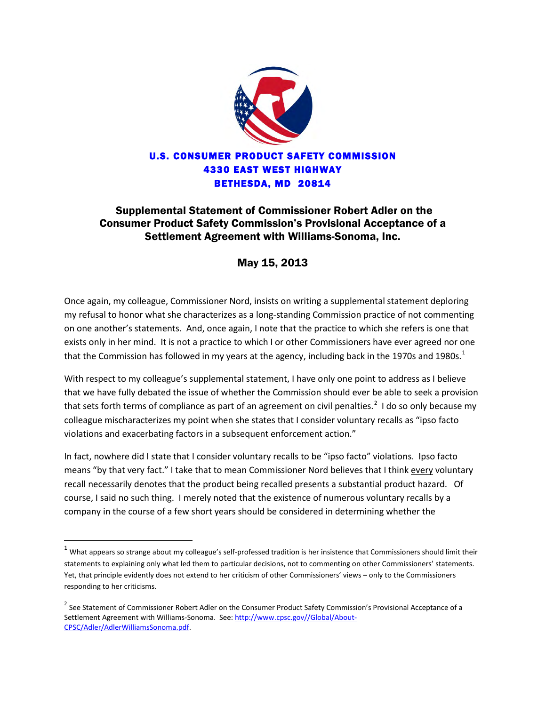

## Supplemental Statement of Commissioner Robert Adler on the Consumer Product Safety Commission's Provisional Acceptance of a Settlement Agreement with Williams-Sonoma, Inc.

## May 15, 2013

Once again, my colleague, Commissioner Nord, insists on writing a supplemental statement deploring my refusal to honor what she characterizes as a long-standing Commission practice of not commenting on one another's statements. And, once again, I note that the practice to which she refers is one that exists only in her mind. It is not a practice to which I or other Commissioners have ever agreed nor one that the Commission has followed in my years at the agency, including back in the [1](#page-0-0)970s and 1980s. $^1$ 

With respect to my colleague's supplemental statement, I have only one point to address as I believe that we have fully debated the issue of whether the Commission should ever be able to seek a provision that sets forth terms of compliance as part of an agreement on civil penalties.<sup>[2](#page-0-1)</sup> I do so only because my colleague mischaracterizes my point when she states that I consider voluntary recalls as "ipso facto violations and exacerbating factors in a subsequent enforcement action."

In fact, nowhere did I state that I consider voluntary recalls to be "ipso facto" violations. Ipso facto means "by that very fact." I take that to mean Commissioner Nord believes that I think every voluntary recall necessarily denotes that the product being recalled presents a substantial product hazard. Of course, I said no such thing. I merely noted that the existence of numerous voluntary recalls by a company in the course of a few short years should be considered in determining whether the

 $\overline{\phantom{a}}$ 

<span id="page-0-0"></span> $^1$  What appears so strange about my colleague's self-professed tradition is her insistence that Commissioners should limit their statements to explaining only what led them to particular decisions, not to commenting on other Commissioners' statements. Yet, that principle evidently does not extend to her criticism of other Commissioners' views – only to the Commissioners responding to her criticisms.

<span id="page-0-1"></span><sup>&</sup>lt;sup>2</sup> See Statement of Commissioner Robert Adler on the Consumer Product Safety Commission's Provisional Acceptance of a Settlement Agreement with Williams-Sonoma. See[: http://www.cpsc.gov//Global/About-](http://www.cpsc.gov/Global/About-CPSC/Adler/AdlerWilliamsSonoma.pdf)[CPSC/Adler/AdlerWilliamsSonoma.pdf.](http://www.cpsc.gov/Global/About-CPSC/Adler/AdlerWilliamsSonoma.pdf)